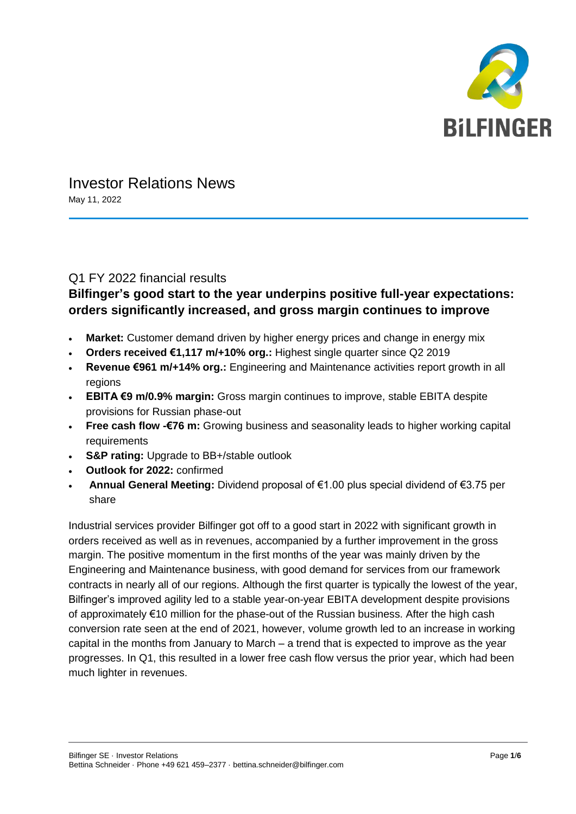

# Investor Relations News

May 11, 2022

### Q1 FY 2022 financial results

# **Bilfinger's good start to the year underpins positive full-year expectations: orders significantly increased, and gross margin continues to improve**

- **Market:** Customer demand driven by higher energy prices and change in energy mix
- **Orders received €1,117 m/+10% org.:** Highest single quarter since Q2 2019
- **Revenue €961 m/+14% org.:** Engineering and Maintenance activities report growth in all regions
- **EBITA €9 m/0.9% margin:** Gross margin continues to improve, stable EBITA despite provisions for Russian phase-out
- **Free cash flow -€76 m:** Growing business and seasonality leads to higher working capital requirements
- **S&P rating:** Upgrade to BB+/stable outlook
- **Outlook for 2022:** confirmed
- **Annual General Meeting:** Dividend proposal of €1.00 plus special dividend of €3.75 per share

Industrial services provider Bilfinger got off to a good start in 2022 with significant growth in orders received as well as in revenues, accompanied by a further improvement in the gross margin. The positive momentum in the first months of the year was mainly driven by the Engineering and Maintenance business, with good demand for services from our framework contracts in nearly all of our regions. Although the first quarter is typically the lowest of the year, Bilfinger's improved agility led to a stable year-on-year EBITA development despite provisions of approximately €10 million for the phase-out of the Russian business. After the high cash conversion rate seen at the end of 2021, however, volume growth led to an increase in working capital in the months from January to March – a trend that is expected to improve as the year progresses. In Q1, this resulted in a lower free cash flow versus the prior year, which had been much lighter in revenues.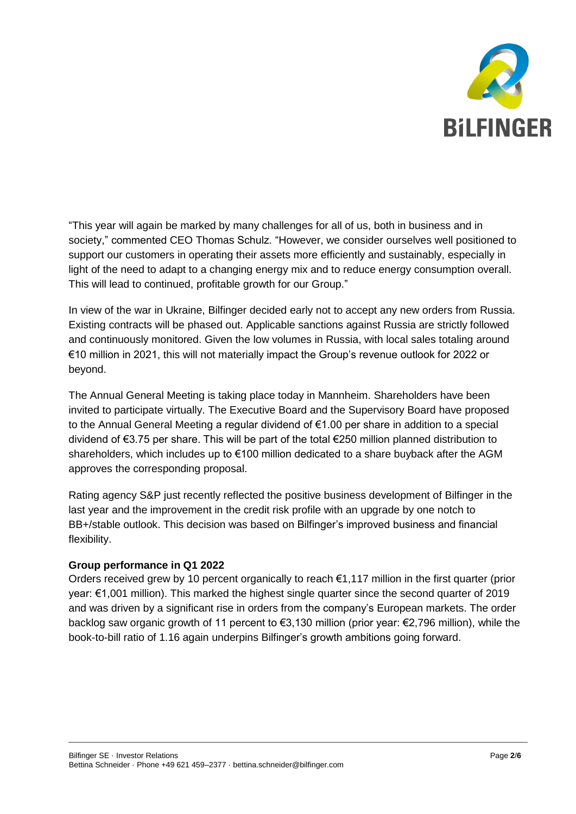

"This year will again be marked by many challenges for all of us, both in business and in society," commented CEO Thomas Schulz. "However, we consider ourselves well positioned to support our customers in operating their assets more efficiently and sustainably, especially in light of the need to adapt to a changing energy mix and to reduce energy consumption overall. This will lead to continued, profitable growth for our Group."

In view of the war in Ukraine, Bilfinger decided early not to accept any new orders from Russia. Existing contracts will be phased out. Applicable sanctions against Russia are strictly followed and continuously monitored. Given the low volumes in Russia, with local sales totaling around €10 million in 2021, this will not materially impact the Group's revenue outlook for 2022 or beyond.

The Annual General Meeting is taking place today in Mannheim. Shareholders have been invited to participate virtually. The Executive Board and the Supervisory Board have proposed to the Annual General Meeting a regular dividend of €1.00 per share in addition to a special dividend of €3.75 per share. This will be part of the total €250 million planned distribution to shareholders, which includes up to €100 million dedicated to a share buyback after the AGM approves the corresponding proposal.

Rating agency S&P just recently reflected the positive business development of Bilfinger in the last year and the improvement in the credit risk profile with an upgrade by one notch to BB+/stable outlook. This decision was based on Bilfinger's improved business and financial flexibility.

#### **Group performance in Q1 2022**

Orders received grew by 10 percent organically to reach €1,117 million in the first quarter (prior year: €1,001 million). This marked the highest single quarter since the second quarter of 2019 and was driven by a significant rise in orders from the company's European markets. The order backlog saw organic growth of 11 percent to €3,130 million (prior year: €2,796 million), while the book-to-bill ratio of 1.16 again underpins Bilfinger's growth ambitions going forward.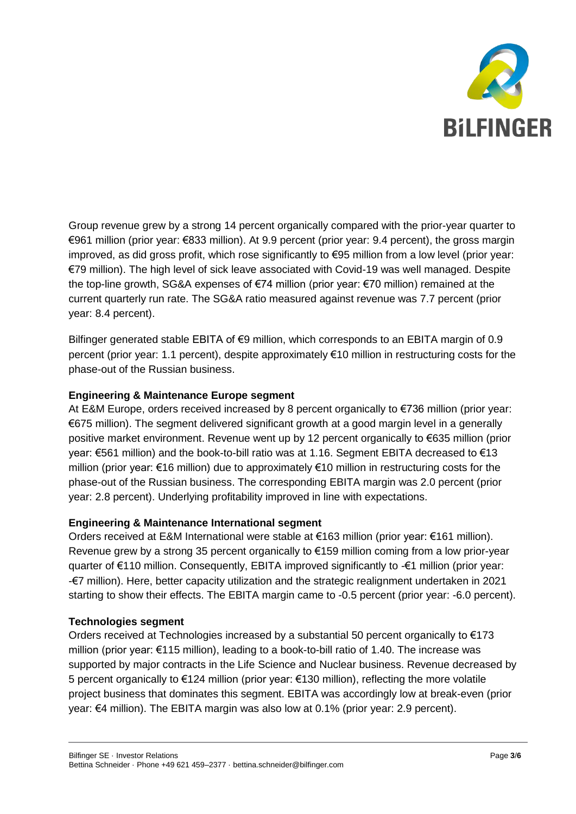

Group revenue grew by a strong 14 percent organically compared with the prior-year quarter to €961 million (prior year: €833 million). At 9.9 percent (prior year: 9.4 percent), the gross margin improved, as did gross profit, which rose significantly to €95 million from a low level (prior year: €79 million). The high level of sick leave associated with Covid-19 was well managed. Despite the top-line growth, SG&A expenses of €74 million (prior year: €70 million) remained at the current quarterly run rate. The SG&A ratio measured against revenue was 7.7 percent (prior year: 8.4 percent).

Bilfinger generated stable EBITA of €9 million, which corresponds to an EBITA margin of 0.9 percent (prior year: 1.1 percent), despite approximately €10 million in restructuring costs for the phase-out of the Russian business.

#### **Engineering & Maintenance Europe segment**

At E&M Europe, orders received increased by 8 percent organically to €736 million (prior year: €675 million). The segment delivered significant growth at a good margin level in a generally positive market environment. Revenue went up by 12 percent organically to €635 million (prior year: €561 million) and the book-to-bill ratio was at 1.16. Segment EBITA decreased to €13 million (prior year: €16 million) due to approximately €10 million in restructuring costs for the phase-out of the Russian business. The corresponding EBITA margin was 2.0 percent (prior year: 2.8 percent). Underlying profitability improved in line with expectations.

#### **Engineering & Maintenance International segment**

Orders received at E&M International were stable at €163 million (prior year: €161 million). Revenue grew by a strong 35 percent organically to €159 million coming from a low prior-year quarter of €110 million. Consequently, EBITA improved significantly to -€1 million (prior year: -€7 million). Here, better capacity utilization and the strategic realignment undertaken in 2021 starting to show their effects. The EBITA margin came to -0.5 percent (prior year: -6.0 percent).

#### **Technologies segment**

Orders received at Technologies increased by a substantial 50 percent organically to  $E$ 173 million (prior year: €115 million), leading to a book-to-bill ratio of 1.40. The increase was supported by major contracts in the Life Science and Nuclear business. Revenue decreased by 5 percent organically to €124 million (prior year: €130 million), reflecting the more volatile project business that dominates this segment. EBITA was accordingly low at break-even (prior year: €4 million). The EBITA margin was also low at 0.1% (prior year: 2.9 percent).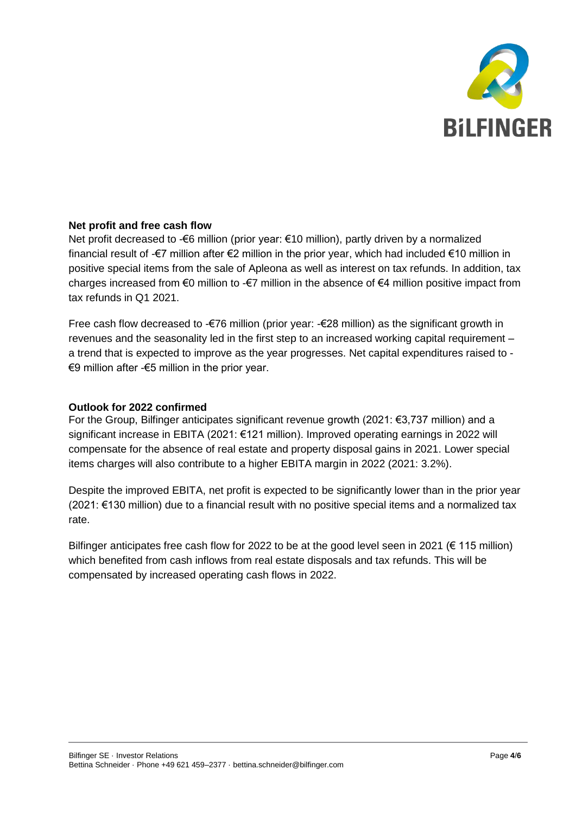

#### **Net profit and free cash flow**

Net profit decreased to -€6 million (prior year: €10 million), partly driven by a normalized financial result of -€7 million after €2 million in the prior year, which had included €10 million in positive special items from the sale of Apleona as well as interest on tax refunds. In addition, tax charges increased from  $\epsilon$ 0 million to - $\epsilon$ 7 million in the absence of  $\epsilon$ 4 million positive impact from tax refunds in Q1 2021.

Free cash flow decreased to -€76 million (prior year: -€28 million) as the significant growth in revenues and the seasonality led in the first step to an increased working capital requirement – a trend that is expected to improve as the year progresses. Net capital expenditures raised to - €9 million after -€5 million in the prior year.

#### **Outlook for 2022 confirmed**

For the Group, Bilfinger anticipates significant revenue growth (2021: €3,737 million) and a significant increase in EBITA (2021: €121 million). Improved operating earnings in 2022 will compensate for the absence of real estate and property disposal gains in 2021. Lower special items charges will also contribute to a higher EBITA margin in 2022 (2021: 3.2%).

Despite the improved EBITA, net profit is expected to be significantly lower than in the prior year (2021: €130 million) due to a financial result with no positive special items and a normalized tax rate.

Bilfinger anticipates free cash flow for 2022 to be at the good level seen in 2021 ( $\epsilon$  115 million) which benefited from cash inflows from real estate disposals and tax refunds. This will be compensated by increased operating cash flows in 2022.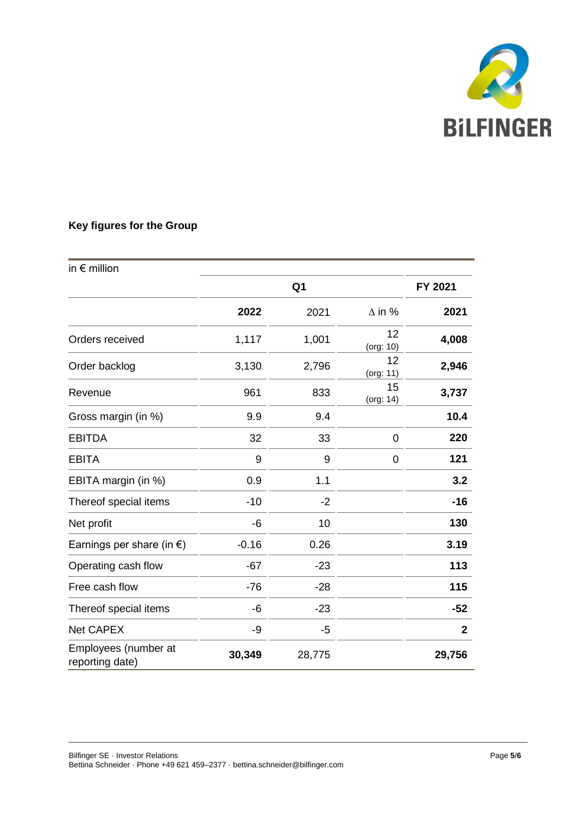

## **Key figures for the Group**

| in $\epsilon$ million                   |                |        |                 |              |
|-----------------------------------------|----------------|--------|-----------------|--------------|
|                                         | Q <sub>1</sub> |        |                 | FY 2021      |
|                                         | 2022           | 2021   | $\Delta$ in %   | 2021         |
| Orders received                         | 1,117          | 1,001  | 12<br>(org: 10) | 4,008        |
| Order backlog                           | 3,130          | 2,796  | 12<br>(org: 11) | 2,946        |
| Revenue                                 | 961            | 833    | 15<br>(org: 14) | 3,737        |
| Gross margin (in %)                     | 9.9            | 9.4    |                 | 10.4         |
| <b>EBITDA</b>                           | 32             | 33     | $\mathbf 0$     | 220          |
| <b>EBITA</b>                            | 9              | 9      | 0               | 121          |
| EBITA margin (in %)                     | 0.9            | 1.1    |                 | 3.2          |
| Thereof special items                   | $-10$          | $-2$   |                 | $-16$        |
| Net profit                              | -6             | 10     |                 | 130          |
| Earnings per share (in $\epsilon$ )     | $-0.16$        | 0.26   |                 | 3.19         |
| Operating cash flow                     | $-67$          | $-23$  |                 | 113          |
| Free cash flow                          | $-76$          | $-28$  |                 | 115          |
| Thereof special items                   | -6             | $-23$  |                 | $-52$        |
| <b>Net CAPEX</b>                        | -9             | $-5$   |                 | $\mathbf{2}$ |
| Employees (number at<br>reporting date) | 30,349         | 28,775 |                 | 29,756       |